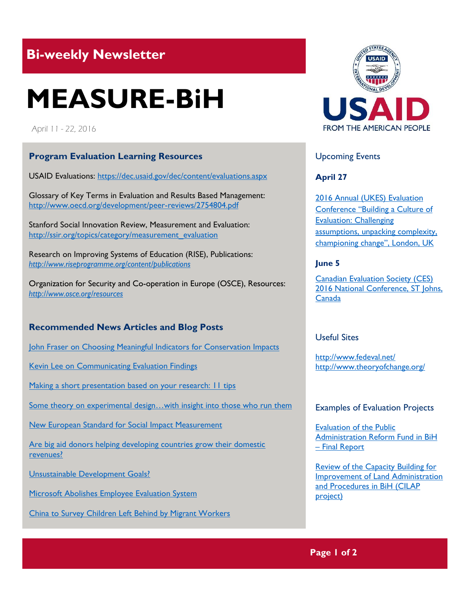## **Bi-weekly Newsletter**

# **MEASURE-BiH**

April 11 - 22, 2016

#### **Program Evaluation Learning Resources**

USAID Evaluations:<https://dec.usaid.gov/dec/content/evaluations.aspx>

Glossary of Key Terms in Evaluation and Results Based Management: <http://www.oecd.org/development/peer-reviews/2754804.pdf>

Stanford Social Innovation Review, Measurement and Evaluation: [http://ssir.org/topics/category/measurement\\_evaluation](http://ssir.org/topics/category/measurement_evaluation)

Research on Improving Systems of Education (RISE), Publications: *<http://www.riseprogramme.org/content/publications>*

Organization for Security and Co-operation in Europe (OSCE), Resources: *<http://www.osce.org/resources>*

### **Recommended News Articles and Blog Posts**

[John Fraser on Choosing Meaningful Indicators for Conservation Impacts](http://aea365.org/blog/epe-tig-week-john-fraser-on-choosing-meaningful-indicators-for-conservation-impacts/?utm_source=feedburner&utm_medium=feed&utm_campaign=Feed%3A+aea365+%28AEA365%29)

[Kevin Lee on Communicating Evaluation Findings](http://aea365.org/blog/gedi-week-kevin-lee-on-communicating-evaluation-findings/)

Making a short presentation based on your research: II tips

Some theory on experimental design...with insight into those who run them

[New European Standard for Social Impact Measurement](https://evalblog.com/2014/07/16/new-european-standard-for-social-impact-measurement/)

[Are big aid donors helping developing countries grow their domestic](https://www.devex.com/news/are-big-aid-donors-helping-developing-countries-grow-their-domestic-revenues-88040)  [revenues?](https://www.devex.com/news/are-big-aid-donors-helping-developing-countries-grow-their-domestic-revenues-88040)

[Unsustainable Development Goals?](http://www.policyinnovations.org/ideas/commentary/data/004391)

[Microsoft Abolishes Employee Evaluation System](http://bits.blogs.nytimes.com/2013/11/13/microsoft-abolishes-employee-evaluation-system/?_r=0)

[China to Survey Children Left Behind by Migrant Workers](http://www.nytimes.com/2016/03/30/world/asia/china-left-behind-children-survey.html)



#### Upcoming Events

**April 27**

[2016 Annual \(UKES\) Evaluation](http://mande.co.uk/conferences/?event_id1=19)  [Conference "Building a Culture of](http://mande.co.uk/conferences/?event_id1=19)  [Evaluation: Challenging](http://mande.co.uk/conferences/?event_id1=19)  assumptions, unpacking complexity, [championing change", London](http://mande.co.uk/conferences/?event_id1=19), UK

#### **June 5**

**Canadian Evaluation Society (CES)** 2016 [National Conference, ST Johns,](http://mande.co.uk/conferences/?event_id1=25)  [Canada](http://mande.co.uk/conferences/?event_id1=25)

#### Useful Sites

<http://www.fedeval.net/> <http://www.theoryofchange.org/>

#### Examples of Evaluation Projects

[Evaluation of the Public](http://www.sida.se/English/publications/Publication_database/publications-by-year1/2015/may/evaluation-of-the-public-administration-reform-fund-in-bosnia-and-herzegovina---final-report/)  [Administration Reform Fund in BiH](http://www.sida.se/English/publications/Publication_database/publications-by-year1/2015/may/evaluation-of-the-public-administration-reform-fund-in-bosnia-and-herzegovina---final-report/)  – [Final Report](http://www.sida.se/English/publications/Publication_database/publications-by-year1/2015/may/evaluation-of-the-public-administration-reform-fund-in-bosnia-and-herzegovina---final-report/)

[Review of the Capacity Building for](http://www.sida.se/contentassets/370f430063ce4028807504750d32db84/ed87d846-4eb3-48a9-8107-634ab335bf8f.pdf)  [Improvement of Land Administration](http://www.sida.se/contentassets/370f430063ce4028807504750d32db84/ed87d846-4eb3-48a9-8107-634ab335bf8f.pdf)  [and Procedures in BiH \(CILAP](http://www.sida.se/contentassets/370f430063ce4028807504750d32db84/ed87d846-4eb3-48a9-8107-634ab335bf8f.pdf)  [project\)](http://www.sida.se/contentassets/370f430063ce4028807504750d32db84/ed87d846-4eb3-48a9-8107-634ab335bf8f.pdf)

**Page 1 of 2**